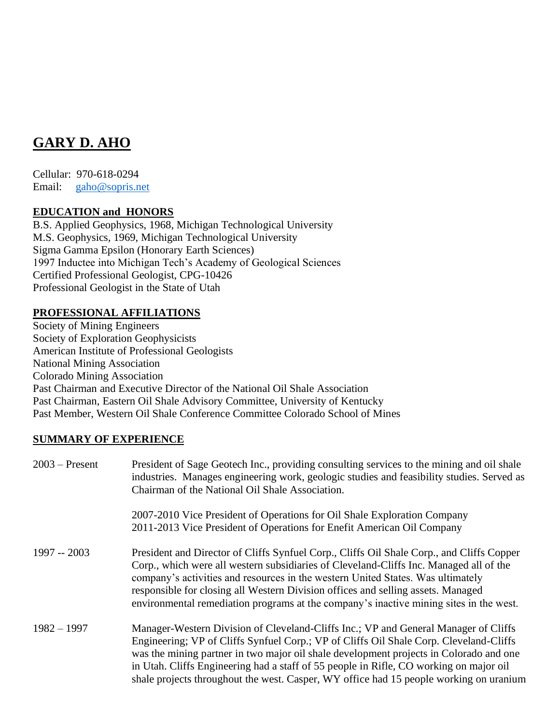# **GARY D. AHO**

Cellular: 970-618-0294 Email: [gaho@sopris.net](mailto:gaho@sopris.net)

# **EDUCATION and HONORS**

B.S. Applied Geophysics, 1968, Michigan Technological University M.S. Geophysics, 1969, Michigan Technological University Sigma Gamma Epsilon (Honorary Earth Sciences) 1997 Inductee into Michigan Tech's Academy of Geological Sciences Certified Professional Geologist, CPG-10426 Professional Geologist in the State of Utah

#### **PROFESSIONAL AFFILIATIONS**

Society of Mining Engineers Society of Exploration Geophysicists American Institute of Professional Geologists National Mining Association Colorado Mining Association Past Chairman and Executive Director of the National Oil Shale Association Past Chairman, Eastern Oil Shale Advisory Committee, University of Kentucky Past Member, Western Oil Shale Conference Committee Colorado School of Mines

## **SUMMARY OF EXPERIENCE**

| $2003$ – Present | President of Sage Geotech Inc., providing consulting services to the mining and oil shale<br>industries. Manages engineering work, geologic studies and feasibility studies. Served as<br>Chairman of the National Oil Shale Association.                                                                                                                                                                                                                   |
|------------------|-------------------------------------------------------------------------------------------------------------------------------------------------------------------------------------------------------------------------------------------------------------------------------------------------------------------------------------------------------------------------------------------------------------------------------------------------------------|
|                  | 2007-2010 Vice President of Operations for Oil Shale Exploration Company<br>2011-2013 Vice President of Operations for Enefit American Oil Company                                                                                                                                                                                                                                                                                                          |
| $1997 - 2003$    | President and Director of Cliffs Synfuel Corp., Cliffs Oil Shale Corp., and Cliffs Copper<br>Corp., which were all western subsidiaries of Cleveland-Cliffs Inc. Managed all of the<br>company's activities and resources in the western United States. Was ultimately<br>responsible for closing all Western Division offices and selling assets. Managed<br>environmental remediation programs at the company's inactive mining sites in the west.        |
| $1982 - 1997$    | Manager-Western Division of Cleveland-Cliffs Inc.; VP and General Manager of Cliffs<br>Engineering; VP of Cliffs Synfuel Corp.; VP of Cliffs Oil Shale Corp. Cleveland-Cliffs<br>was the mining partner in two major oil shale development projects in Colorado and one<br>in Utah. Cliffs Engineering had a staff of 55 people in Rifle, CO working on major oil<br>shale projects throughout the west. Casper, WY office had 15 people working on uranium |